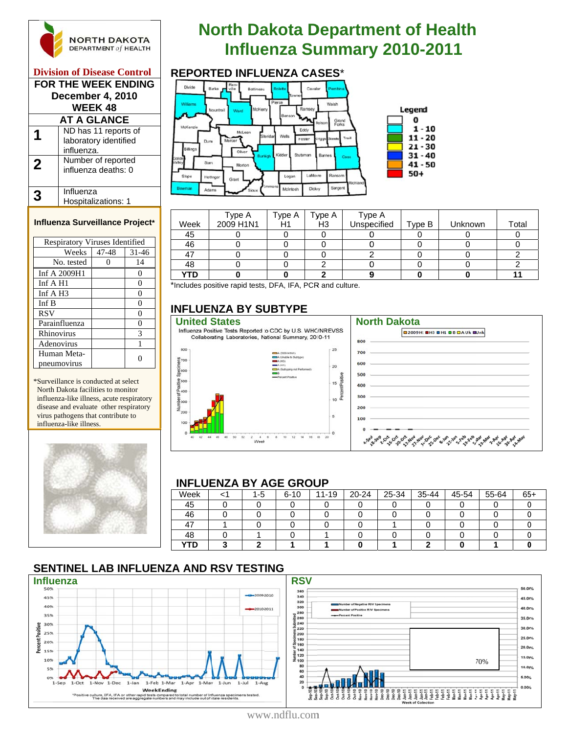

### **Division of Disease Control**

| <b>FOR THE WEEK ENDING</b><br>December 4, 2010 |                                                             |  |  |  |  |
|------------------------------------------------|-------------------------------------------------------------|--|--|--|--|
|                                                | <b>WEEK 48</b>                                              |  |  |  |  |
| AT A GLANCE                                    |                                                             |  |  |  |  |
|                                                | ND has 11 reports of<br>laboratory identified<br>influenza. |  |  |  |  |
| $\mathbf 2$                                    | Number of reported<br>influenza deaths: 0                   |  |  |  |  |
|                                                | Influenza<br>Hospitalizations: 1                            |  |  |  |  |

#### Influenza Surveillance Project\*

| <b>Respiratory Viruses Identified</b> |       |           |  |  |  |  |  |
|---------------------------------------|-------|-----------|--|--|--|--|--|
| Weeks                                 | 47-48 | $31 - 46$ |  |  |  |  |  |
| No. tested                            |       | 14        |  |  |  |  |  |
| Inf A 2009H1                          |       | 0         |  |  |  |  |  |
| Inf $A$ H <sub>1</sub>                |       | 0         |  |  |  |  |  |
| Inf $A$ H <sub>3</sub>                |       | 0         |  |  |  |  |  |
| Inf B                                 |       | 0         |  |  |  |  |  |
| <b>RSV</b>                            |       | 0         |  |  |  |  |  |
| Parainfluenza                         |       | 0         |  |  |  |  |  |
| Rhinovirus                            |       | 3         |  |  |  |  |  |
| Adenovirus                            |       |           |  |  |  |  |  |
| Human Meta-                           |       |           |  |  |  |  |  |
| pneumovirus                           |       |           |  |  |  |  |  |

\*Surveillance is conducted at select North Dakota facilities to monitor influenza-like illness, acute respiratory disease and evaluate other respiratory virus pathogens that contribute to influenza-like illness.



# **North Dakota Department of Health Influenza Summary 2010-2011**

## **REPORTED INFLUENZA CASES\***



|      | Type A    | Type A | Type A         | Type A      |        |         |       |
|------|-----------|--------|----------------|-------------|--------|---------|-------|
| Week | 2009 H1N1 | H1     | H <sub>3</sub> | Unspecified | Type B | Unknown | Total |
| 45   |           |        |                |             |        |         |       |
| 46   |           |        |                |             |        |         |       |
|      |           |        |                |             |        |         |       |
| 48   |           |        |                |             |        |         |       |
| YTD  |           |        |                |             |        |         |       |

\*Includes positive rapid tests, DFA, IFA, PCR and culture.

## **INFLUENZA BY SUBTYPE**

#### **United States**

Influenza Positive Tests Reported to CDC by U.S. WHC/NREVSS Collaborating Laboratories, National Summary, 2010-11



## **North Dakota 02009H1 0H3 0H1 08 DAUk 0Unk** 800 700 600 500 400 200 100  $\mathbf{0}$ 4.5% of 20 to 0.0 0 th 4.2 th 21 to 6.5 0 to 1.2 th 21 to 4.2 to 1.4 th 21 to 1.4 th 21 th 21 th 21 th 21 th

## **INFLUENZA BY AGE GROUP**

| Week           | 1-5 | $6 - 10$ | $11 - 19$ | $20 - 24$ | 25-34 | 35-44 | 45-54 | 55-64 | $65 -$ |
|----------------|-----|----------|-----------|-----------|-------|-------|-------|-------|--------|
| 45             |     |          |           |           |       |       |       |       |        |
| 46             |     |          |           |           |       |       |       |       |        |
| $\overline{ }$ |     |          |           |           |       |       |       |       |        |
| 48             |     |          |           |           |       |       |       |       |        |
| YTD            |     |          |           |           |       |       |       |       |        |

# SENTINEL LAB INFLUENZA AND RSV TESTING